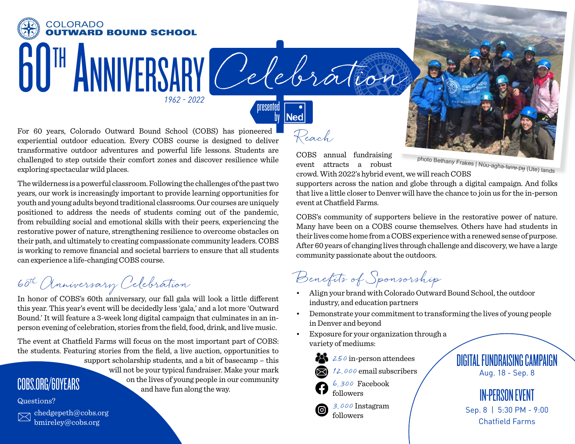

COBS annual fundraising event attracts a robust crowd. With 2022's hybrid event, we will reach COBS

Reach

**Ned** 

oresented

photo Bethany Frakes | Núu-agha-tʉvʉ-pʉ̱ (Ute) lands

supporters across the nation and globe through a digital campaign. And folks that live a little closer to Denver will have the chance to join us for the in-person event at Chatfield Farms.

COBS's community of supporters believe in the restorative power of nature. Many have been on a COBS course themselves. Others have had students in their lives come home from a COBS experience with a renewed sense of purpose. After 60 years of changing lives through challenge and discovery, we have a large community passionate about the outdoors.

Benefits of Sponsorship

- Align your brand with Colorado Outward Bound School, the outdoor industry, and education partners
- Demonstrate your commitment to transforming the lives of young people in Denver and beyond
- Exposure for your organization through a variety of mediums:



followers

3,000 Instagram ල followers

DIGITAL FUNDRAISING CAMPAIGN Aug. 18 - Sep. 8

## IN-PERSON EVENT

Sep. 8 | 5:30 PM - 9:00 Chatfield Farms

For 60 years, Colorado Outward Bound School (COBS) has pioneered experiential outdoor education. Every COBS course is designed to deliver transformative outdoor adventures and powerful life lessons. Students are challenged to step outside their comfort zones and discover resilience while exploring spectacular wild places.

*1962 - 2022*

The wilderness is a powerful classroom. Following the challenges of the past two years, our work is increasingly important to provide learning opportunities for youth and young adults beyond traditional classrooms. Our courses are uniquely positioned to address the needs of students coming out of the pandemic, from rebuilding social and emotional skills with their peers, experiencing the restorative power of nature, strengthening resilience to overcome obstacles on their path, and ultimately to creating compassionate community leaders. COBS is working to remove financial and societal barriers to ensure that all students can experience a life-changing COBS course.

60th Anniversary Celebration

**60 TH ANNIVERSARY** 

**COLORADO** 

In honor of COBS's 60th anniversary, our fall gala will look a little different this year. This year's event will be decidedly less 'gala,' and a lot more 'Outward Bound.' It will feature a 3-week long digital campaign that culminates in an inperson evening of celebration, stories from the field, food, drink, and live music.

The event at Chatfield Farms will focus on the most important part of COBS: the students. Featuring stories from the field, a live auction, opportunities to support scholarship students, and a bit of basecamp – this will not be your typical fundraiser. Make your mark on the lives of young people in our community and have fun along the way. COBS.ORG/60YEARS

## Questions?



chedgepeth@cobs.org bmireley@cobs.org